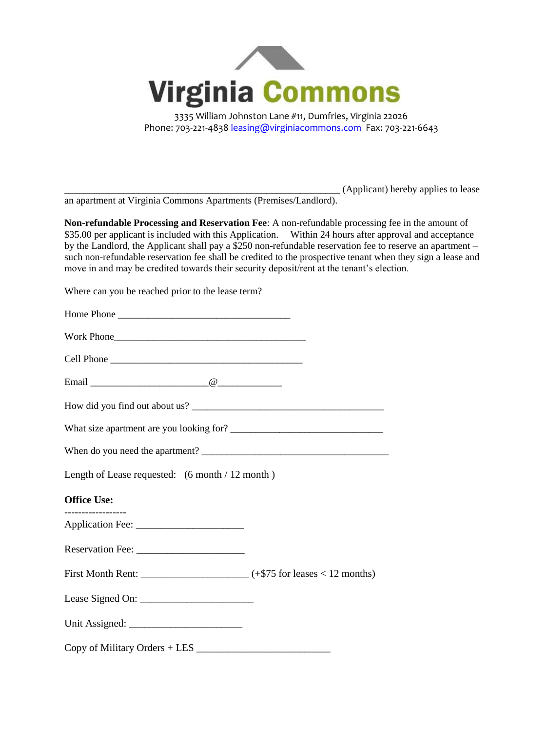

Phone: 703-221-4838 [leasing@virginiacommons.com](mailto:leasing@virginiacommons.com) Fax: 703-221-6643

\_\_\_\_\_\_\_\_\_\_\_\_\_\_\_\_\_\_\_\_\_\_\_\_\_\_\_\_\_\_\_\_\_\_\_\_\_\_\_\_\_\_\_\_\_\_\_\_\_\_\_\_\_\_\_\_ (Applicant) hereby applies to lease

an apartment at Virginia Commons Apartments (Premises/Landlord).

**Non-refundable Processing and Reservation Fee**: A non-refundable processing fee in the amount of \$35.00 per applicant is included with this Application. Within 24 hours after approval and acceptance by the Landlord, the Applicant shall pay a \$250 non-refundable reservation fee to reserve an apartment – such non-refundable reservation fee shall be credited to the prospective tenant when they sign a lease and move in and may be credited towards their security deposit/rent at the tenant's election.

Where can you be reached prior to the lease term?

| Home Phone                                      |  |
|-------------------------------------------------|--|
|                                                 |  |
|                                                 |  |
|                                                 |  |
|                                                 |  |
|                                                 |  |
|                                                 |  |
| Length of Lease requested: (6 month / 12 month) |  |
| <b>Office Use:</b>                              |  |
| ___________________                             |  |
|                                                 |  |
|                                                 |  |
|                                                 |  |
|                                                 |  |
|                                                 |  |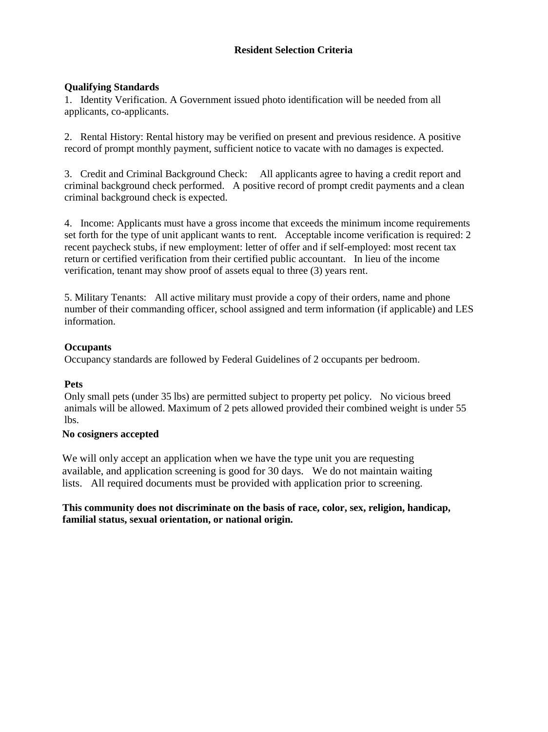### **Resident Selection Criteria**

### **Qualifying Standards**

1. Identity Verification. A Government issued photo identification will be needed from all applicants, co-applicants.

2. Rental History: Rental history may be verified on present and previous residence. A positive record of prompt monthly payment, sufficient notice to vacate with no damages is expected.

3. Credit and Criminal Background Check: All applicants agree to having a credit report and criminal background check performed. A positive record of prompt credit payments and a clean criminal background check is expected.

4. Income: Applicants must have a gross income that exceeds the minimum income requirements set forth for the type of unit applicant wants to rent. Acceptable income verification is required: 2 recent paycheck stubs, if new employment: letter of offer and if self-employed: most recent tax return or certified verification from their certified public accountant. In lieu of the income verification, tenant may show proof of assets equal to three (3) years rent.

5. Military Tenants: All active military must provide a copy of their orders, name and phone number of their commanding officer, school assigned and term information (if applicable) and LES information.

### **Occupants**

Occupancy standards are followed by Federal Guidelines of 2 occupants per bedroom.

### **Pets**

Only small pets (under 35 lbs) are permitted subject to property pet policy. No vicious breed animals will be allowed. Maximum of 2 pets allowed provided their combined weight is under 55 lbs.

### **No cosigners accepted**

We will only accept an application when we have the type unit you are requesting available, and application screening is good for 30 days. We do not maintain waiting lists. All required documents must be provided with application prior to screening.

**This community does not discriminate on the basis of race, color, sex, religion, handicap, familial status, sexual orientation, or national origin.**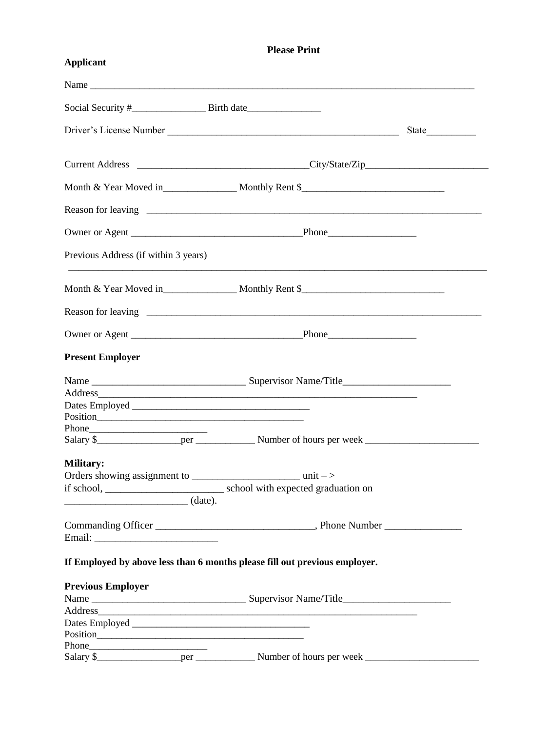## **Please Print**

# **Applicant**

| Previous Address (if within 3 years)                                                                                                                                                                                           |                                                                            |  |
|--------------------------------------------------------------------------------------------------------------------------------------------------------------------------------------------------------------------------------|----------------------------------------------------------------------------|--|
|                                                                                                                                                                                                                                |                                                                            |  |
|                                                                                                                                                                                                                                |                                                                            |  |
|                                                                                                                                                                                                                                |                                                                            |  |
| <b>Present Employer</b>                                                                                                                                                                                                        |                                                                            |  |
|                                                                                                                                                                                                                                |                                                                            |  |
|                                                                                                                                                                                                                                |                                                                            |  |
|                                                                                                                                                                                                                                |                                                                            |  |
|                                                                                                                                                                                                                                |                                                                            |  |
| Phone                                                                                                                                                                                                                          |                                                                            |  |
| <b>Military:</b>                                                                                                                                                                                                               |                                                                            |  |
|                                                                                                                                                                                                                                |                                                                            |  |
|                                                                                                                                                                                                                                |                                                                            |  |
|                                                                                                                                                                                                                                |                                                                            |  |
|                                                                                                                                                                                                                                |                                                                            |  |
|                                                                                                                                                                                                                                |                                                                            |  |
|                                                                                                                                                                                                                                | If Employed by above less than 6 months please fill out previous employer. |  |
| <b>Previous Employer</b>                                                                                                                                                                                                       |                                                                            |  |
|                                                                                                                                                                                                                                |                                                                            |  |
|                                                                                                                                                                                                                                |                                                                            |  |
|                                                                                                                                                                                                                                |                                                                            |  |
|                                                                                                                                                                                                                                |                                                                            |  |
| Phone expansion and the state of the state of the state of the state of the state of the state of the state of the state of the state of the state of the state of the state of the state of the state of the state of the sta |                                                                            |  |
|                                                                                                                                                                                                                                |                                                                            |  |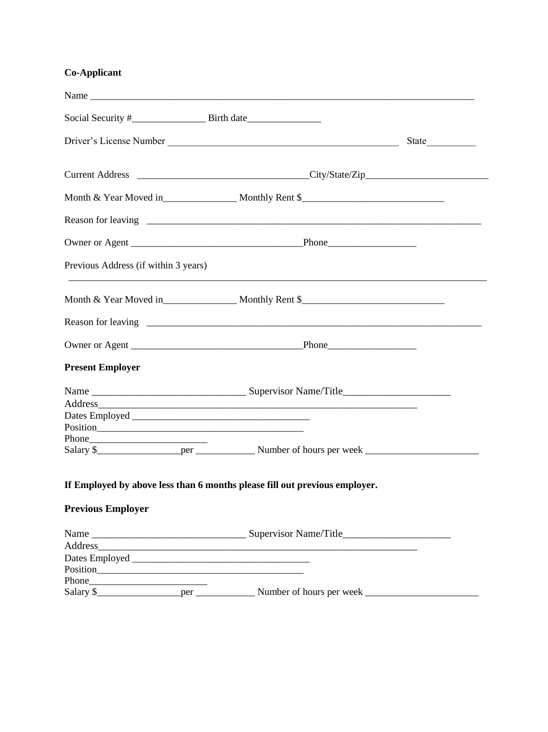### Co-Applicant

|                                      | Driver's License Number                                                                                               |  |
|--------------------------------------|-----------------------------------------------------------------------------------------------------------------------|--|
|                                      |                                                                                                                       |  |
|                                      |                                                                                                                       |  |
|                                      |                                                                                                                       |  |
|                                      |                                                                                                                       |  |
| Previous Address (if within 3 years) | <u> 1989 - Johann Stoff, deutscher Stoff, der Stoff, der Stoff, der Stoff, der Stoff, der Stoff, der Stoff, der S</u> |  |
|                                      |                                                                                                                       |  |
|                                      |                                                                                                                       |  |
|                                      |                                                                                                                       |  |
| <b>Present Employer</b>              |                                                                                                                       |  |
|                                      |                                                                                                                       |  |
|                                      |                                                                                                                       |  |
|                                      |                                                                                                                       |  |
|                                      |                                                                                                                       |  |
| Phone                                |                                                                                                                       |  |
|                                      |                                                                                                                       |  |
|                                      | If Employed by above less than 6 months please fill out previous employer.                                            |  |
| <b>Previous Employer</b>             |                                                                                                                       |  |
|                                      |                                                                                                                       |  |
|                                      |                                                                                                                       |  |
|                                      |                                                                                                                       |  |
|                                      |                                                                                                                       |  |
|                                      |                                                                                                                       |  |
|                                      |                                                                                                                       |  |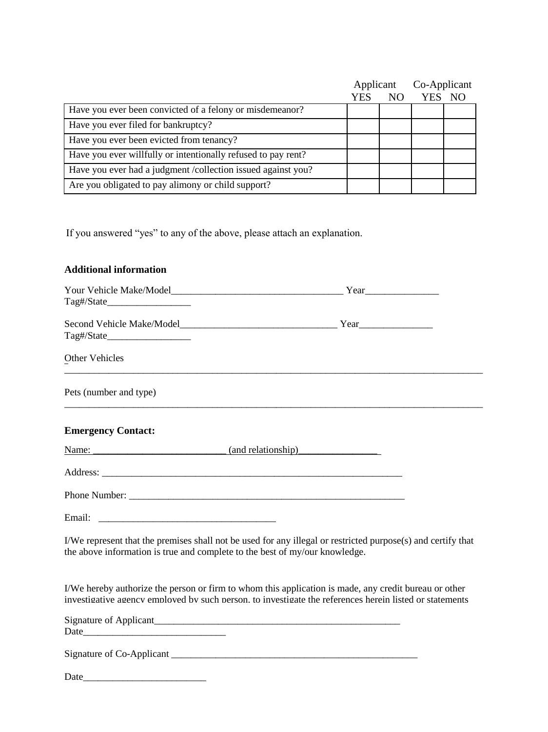|                                                               | Applicant |     | Co-Applicant |  |
|---------------------------------------------------------------|-----------|-----|--------------|--|
|                                                               | YES       | NO. | YES NO       |  |
| Have you ever been convicted of a felony or misdemeanor?      |           |     |              |  |
| Have you ever filed for bankruptcy?                           |           |     |              |  |
| Have you ever been evicted from tenancy?                      |           |     |              |  |
| Have you ever willfully or intentionally refused to pay rent? |           |     |              |  |
| Have you ever had a judgment /collection issued against you?  |           |     |              |  |
| Are you obligated to pay alimony or child support?            |           |     |              |  |

If you answered "yes" to any of the above, please attach an explanation.

## **Additional information**

|                                                                             | $Year$ $\qquad \qquad \qquad$                                                                                                                                                                                    |
|-----------------------------------------------------------------------------|------------------------------------------------------------------------------------------------------------------------------------------------------------------------------------------------------------------|
|                                                                             |                                                                                                                                                                                                                  |
|                                                                             |                                                                                                                                                                                                                  |
|                                                                             |                                                                                                                                                                                                                  |
| Other Vehicles                                                              |                                                                                                                                                                                                                  |
| Pets (number and type)                                                      |                                                                                                                                                                                                                  |
| <b>Emergency Contact:</b>                                                   |                                                                                                                                                                                                                  |
| Name: <u>Name:</u> (and relationship)                                       |                                                                                                                                                                                                                  |
|                                                                             |                                                                                                                                                                                                                  |
|                                                                             |                                                                                                                                                                                                                  |
|                                                                             |                                                                                                                                                                                                                  |
| the above information is true and complete to the best of my/our knowledge. | I/We represent that the premises shall not be used for any illegal or restricted purpose(s) and certify that                                                                                                     |
|                                                                             | I/We hereby authorize the person or firm to whom this application is made, any credit bureau or other<br>investigative agency employed by such person, to investigate the references herein listed or statements |
|                                                                             |                                                                                                                                                                                                                  |
|                                                                             |                                                                                                                                                                                                                  |
| Date_                                                                       |                                                                                                                                                                                                                  |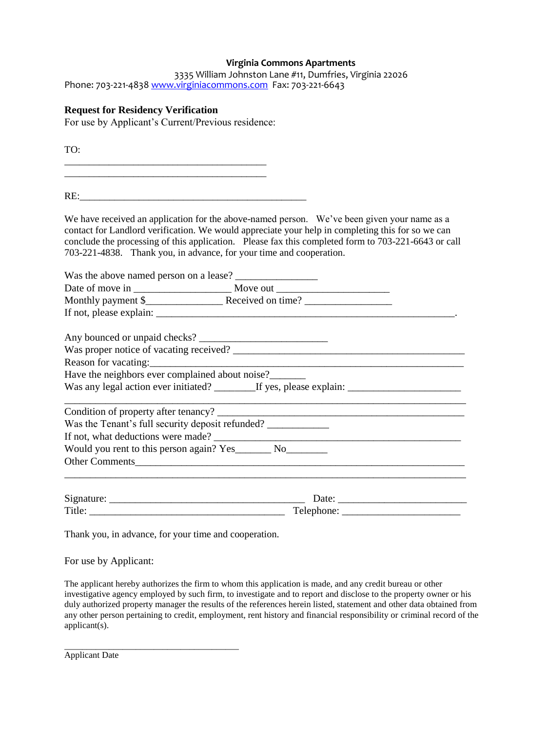#### **Virginia Commons Apartments**

|                                                               | 3335 William Johnston Lane #11, Dumfries, Virginia 22026 |
|---------------------------------------------------------------|----------------------------------------------------------|
| Phone: 703-221-4838 www.virginiacommons.com Fax: 703-221-6643 |                                                          |

#### **Request for Residency Verification**

For use by Applicant's Current/Previous residence:

TO: \_\_\_\_\_\_\_\_\_\_\_\_\_\_\_\_\_\_\_\_\_\_\_\_\_\_\_\_\_\_\_\_\_\_\_\_\_\_\_\_\_ RE: We have received an application for the above-named person. We've been given your name as a contact for Landlord verification. We would appreciate your help in completing this for so we can conclude the processing of this application. Please fax this completed form to 703-221-6643 or call 703-221-4838. Thank you, in advance, for your time and cooperation. Was the above named person on a lease? \_\_\_\_\_\_\_\_\_\_\_\_\_\_\_\_ Date of move in \_\_\_\_\_\_\_\_\_\_\_\_\_\_\_\_\_\_\_ Move out \_\_\_\_\_\_\_\_\_\_\_\_\_\_\_\_\_\_\_\_\_\_ Monthly payment \$\_\_\_\_\_\_\_\_\_\_\_\_\_\_\_ Received on time? \_\_\_\_\_\_\_\_\_\_\_\_\_\_\_\_\_ If not, please explain:  $\frac{1}{2}$  =  $\frac{1}{2}$  =  $\frac{1}{2}$  =  $\frac{1}{2}$  =  $\frac{1}{2}$  =  $\frac{1}{2}$  =  $\frac{1}{2}$  =  $\frac{1}{2}$  =  $\frac{1}{2}$  =  $\frac{1}{2}$  =  $\frac{1}{2}$  =  $\frac{1}{2}$  =  $\frac{1}{2}$  =  $\frac{1}{2}$  =  $\frac{1}{2}$  =  $\frac{1}{2}$  =  $\frac{1$ Any bounced or unpaid checks? \_\_\_\_\_\_\_\_\_\_\_\_\_\_\_\_\_\_\_\_\_\_\_\_\_ Was proper notice of vacating received? Reason for vacating: Have the neighbors ever complained about noise? Was any legal action ever initiated? \_\_\_\_\_\_\_\_\_If yes, please explain: \_\_\_\_\_\_\_\_\_\_\_ \_\_\_\_\_\_\_\_\_\_\_\_\_\_\_\_\_\_\_\_\_\_\_\_\_\_\_\_\_\_\_\_\_\_\_\_\_\_\_\_\_\_\_\_\_\_\_\_\_\_\_\_\_\_\_\_\_\_\_\_\_\_\_\_\_\_\_\_\_\_\_\_\_\_\_\_\_\_ Condition of property after tenancy? Was the Tenant's full security deposit refunded? \_\_\_\_\_\_\_\_\_\_\_\_\_\_\_\_\_\_\_\_\_\_\_\_\_\_\_\_\_\_\_ If not, what deductions were made? \_\_\_\_\_\_\_\_\_\_\_\_\_\_\_\_\_\_\_\_\_\_\_\_\_\_\_\_\_\_\_\_\_\_\_\_\_\_\_\_\_\_\_\_\_\_\_\_

Would you rent to this person again? Yes No

Other Comments\_\_\_\_\_\_\_\_\_\_\_\_\_\_\_\_\_\_\_\_\_\_\_\_\_\_\_\_\_\_\_\_\_\_\_\_\_\_\_\_\_\_\_\_\_\_\_\_\_\_\_\_\_\_\_\_\_\_\_\_\_\_\_\_

| Signature: | Jate <sup>.</sup> |
|------------|-------------------|
| Title:     | Telephone:        |

\_\_\_\_\_\_\_\_\_\_\_\_\_\_\_\_\_\_\_\_\_\_\_\_\_\_\_\_\_\_\_\_\_\_\_\_\_\_\_\_\_\_\_\_\_\_\_\_\_\_\_\_\_\_\_\_\_\_\_\_\_\_\_\_\_\_\_\_\_\_\_\_\_\_\_\_\_\_

Thank you, in advance, for your time and cooperation.

For use by Applicant:

The applicant hereby authorizes the firm to whom this application is made, and any credit bureau or other investigative agency employed by such firm, to investigate and to report and disclose to the property owner or his duly authorized property manager the results of the references herein listed, statement and other data obtained from any other person pertaining to credit, employment, rent history and financial responsibility or criminal record of the applicant(s).

\_\_\_\_\_\_\_\_\_\_\_\_\_\_\_\_\_\_\_\_\_\_\_\_\_\_\_\_\_\_\_\_\_\_\_\_\_\_\_ Applicant Date